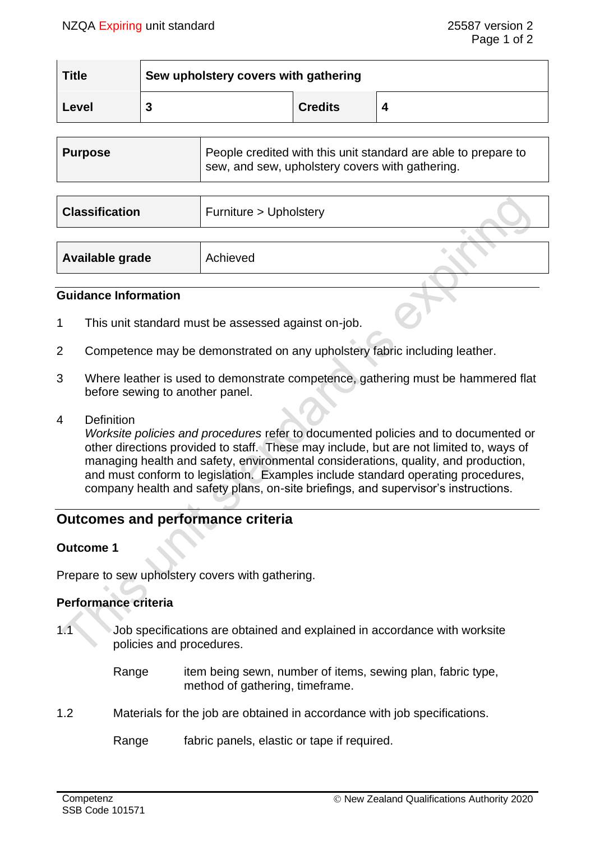| <b>Title</b> | Sew upholstery covers with gathering |                |  |
|--------------|--------------------------------------|----------------|--|
| Level        |                                      | <b>Credits</b> |  |

| People credited with this unit standard are able to prepare to<br><b>Purpose</b><br>sew, and sew, upholstery covers with gathering. |  |
|-------------------------------------------------------------------------------------------------------------------------------------|--|
|-------------------------------------------------------------------------------------------------------------------------------------|--|

| <b>Classification</b> | Furniture > Upholstery |  |
|-----------------------|------------------------|--|
|                       |                        |  |
| Available grade       | Achieved               |  |

## **Guidance Information**

- 1 This unit standard must be assessed against on-job.
- 2 Competence may be demonstrated on any upholstery fabric including leather.
- 3 Where leather is used to demonstrate competence, gathering must be hammered flat before sewing to another panel.
- 4 Definition

*Worksite policies and procedures* refer to documented policies and to documented or other directions provided to staff. These may include, but are not limited to, ways of managing health and safety, environmental considerations, quality, and production, and must conform to legislation. Examples include standard operating procedures, company health and safety plans, on-site briefings, and supervisor's instructions.

# **Outcomes and performance criteria**

#### **Outcome 1**

Prepare to sew upholstery covers with gathering.

# **Performance criteria**

- 1.1 Job specifications are obtained and explained in accordance with worksite policies and procedures.
	- Range item being sewn, number of items, sewing plan, fabric type, method of gathering, timeframe.
- 1.2 Materials for the job are obtained in accordance with job specifications.

Range fabric panels, elastic or tape if required.